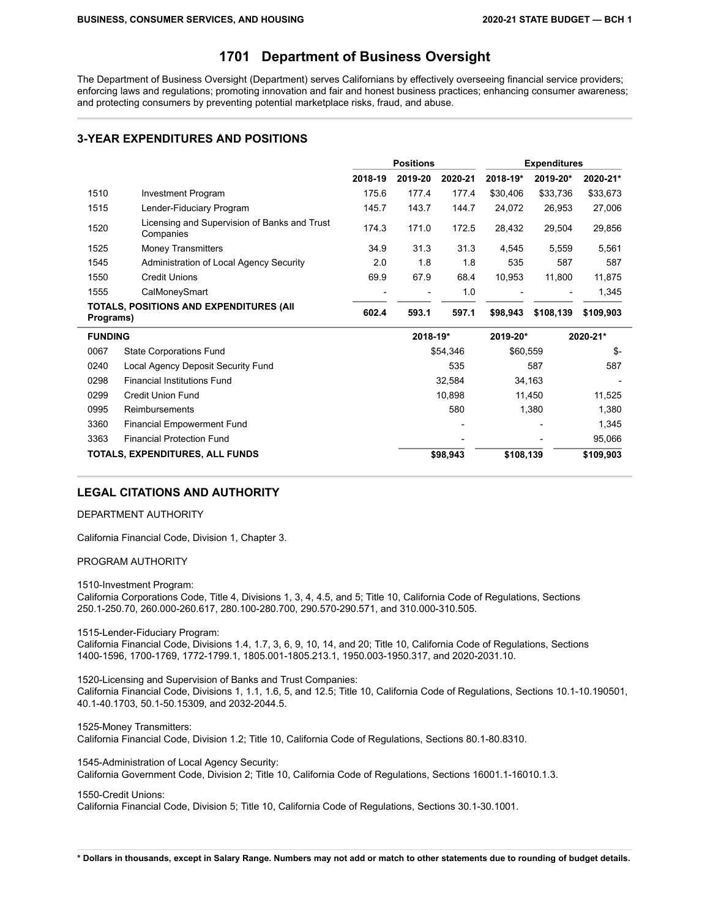# **1701 Department of Business Oversight**

The Department of Business Oversight (Department) serves Californians by effectively overseeing financial service providers; enforcing laws and regulations; promoting innovation and fair and honest business practices; enhancing consumer awareness; and protecting consumers by preventing potential marketplace risks, fraud, and abuse.

### **3-YEAR EXPENDITURES AND POSITIONS**

|                |                                                           |         | <b>Positions</b> |          | <b>Expenditures</b> |           |           |
|----------------|-----------------------------------------------------------|---------|------------------|----------|---------------------|-----------|-----------|
|                |                                                           | 2018-19 | 2019-20          | 2020-21  | 2018-19*            | 2019-20*  | 2020-21*  |
| 1510           | <b>Investment Program</b>                                 | 175.6   | 177.4            | 177.4    | \$30,406            | \$33,736  | \$33,673  |
| 1515           | Lender-Fiduciary Program                                  | 145.7   | 143.7            | 144.7    | 24,072              | 26,953    | 27,006    |
| 1520           | Licensing and Supervision of Banks and Trust<br>Companies | 174.3   | 171.0            | 172.5    | 28,432              | 29,504    | 29,856    |
| 1525           | Money Transmitters                                        | 34.9    | 31.3             | 31.3     | 4,545               | 5,559     | 5,561     |
| 1545           | Administration of Local Agency Security                   | 2.0     | 1.8              | 1.8      | 535                 | 587       | 587       |
| 1550           | <b>Credit Unions</b>                                      | 69.9    | 67.9             | 68.4     | 10,953              | 11,800    | 11,875    |
| 1555           | CalMoneySmart                                             |         |                  | 1.0      |                     |           | 1,345     |
| Programs)      | TOTALS, POSITIONS AND EXPENDITURES (AII                   | 602.4   | 593.1            | 597.1    | \$98,943            | \$108,139 | \$109,903 |
| <b>FUNDING</b> |                                                           |         | 2018-19*         |          | 2019-20*            |           | 2020-21*  |
| 0067           | <b>State Corporations Fund</b>                            |         |                  | \$54,346 | \$60,559            |           | \$-       |
| 0240           | Local Agency Deposit Security Fund                        |         |                  | 535      |                     | 587       | 587       |
| 0298           | <b>Financial Institutions Fund</b>                        |         |                  | 32,584   |                     | 34,163    |           |
| 0299           | Credit Union Fund                                         |         |                  | 10,898   |                     | 11,450    | 11,525    |
| 0995           | Reimbursements                                            |         |                  | 580      |                     | 1,380     | 1,380     |
| 3360           | <b>Financial Empowerment Fund</b>                         |         |                  |          |                     |           | 1,345     |
| 3363           | <b>Financial Protection Fund</b>                          |         |                  |          |                     |           | 95,066    |
|                | TOTALS, EXPENDITURES, ALL FUNDS                           |         |                  | \$98,943 | \$108,139           |           | \$109,903 |

## **LEGAL CITATIONS AND AUTHORITY**

#### DEPARTMENT AUTHORITY

California Financial Code, Division 1, Chapter 3.

#### PROGRAM AUTHORITY

1510-Investment Program:

California Corporations Code, Title 4, Divisions 1, 3, 4, 4.5, and 5; Title 10, California Code of Regulations, Sections 250.1-250.70, 260.000-260.617, 280.100-280.700, 290.570-290.571, and 310.000-310.505.

1515-Lender-Fiduciary Program:

California Financial Code, Divisions 1.4, 1.7, 3, 6, 9, 10, 14, and 20; Title 10, California Code of Regulations, Sections 1400-1596, 1700-1769, 1772-1799.1, 1805.001-1805.213.1, 1950.003-1950.317, and 2020-2031.10.

1520-Licensing and Supervision of Banks and Trust Companies: California Financial Code, Divisions 1, 1.1, 1.6, 5, and 12.5; Title 10, California Code of Regulations, Sections 10.1-10.190501, 40.1-40.1703, 50.1-50.15309, and 2032-2044.5.

1525-Money Transmitters: California Financial Code, Division 1.2; Title 10, California Code of Regulations, Sections 80.1-80.8310.

1545-Administration of Local Agency Security: California Government Code, Division 2; Title 10, California Code of Regulations, Sections 16001.1-16010.1.3.

#### 1550-Credit Unions:

California Financial Code, Division 5; Title 10, California Code of Regulations, Sections 30.1-30.1001.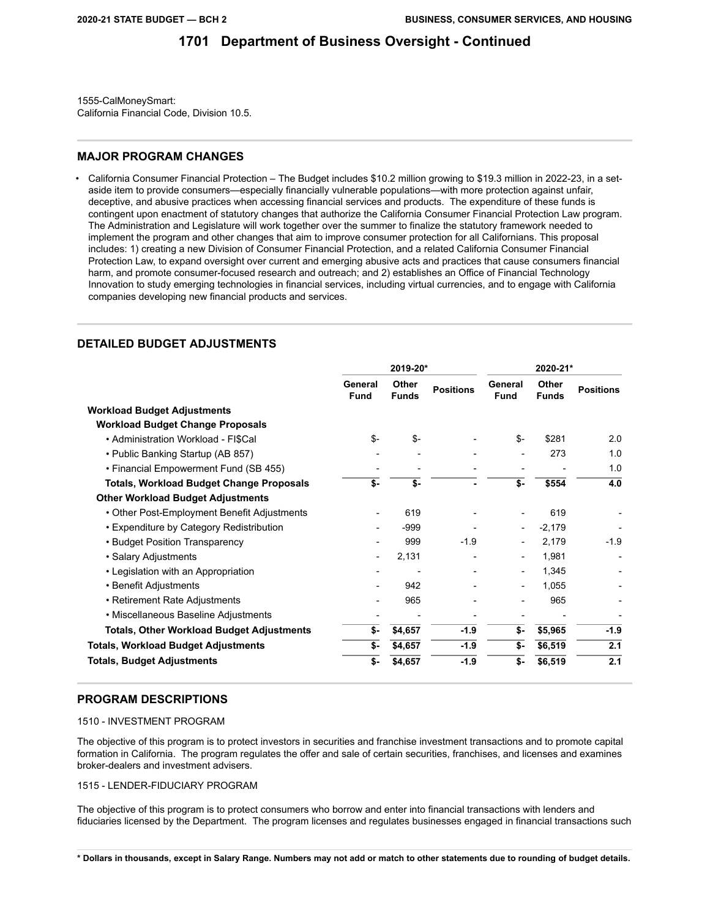1555-CalMoneySmart: California Financial Code, Division 10.5.

### **MAJOR PROGRAM CHANGES**

• California Consumer Financial Protection – The Budget includes \$10.2 million growing to \$19.3 million in 2022-23, in a setaside item to provide consumers—especially financially vulnerable populations—with more protection against unfair, deceptive, and abusive practices when accessing financial services and products. The expenditure of these funds is contingent upon enactment of statutory changes that authorize the California Consumer Financial Protection Law program. The Administration and Legislature will work together over the summer to finalize the statutory framework needed to implement the program and other changes that aim to improve consumer protection for all Californians. This proposal includes: 1) creating a new Division of Consumer Financial Protection, and a related California Consumer Financial Protection Law, to expand oversight over current and emerging abusive acts and practices that cause consumers financial harm, and promote consumer-focused research and outreach; and 2) establishes an Office of Financial Technology Innovation to study emerging technologies in financial services, including virtual currencies, and to engage with California companies developing new financial products and services.

### **DETAILED BUDGET ADJUSTMENTS**

|                                                  | 2019-20*                 |                       | 2020-21*         |                          |                       |                  |
|--------------------------------------------------|--------------------------|-----------------------|------------------|--------------------------|-----------------------|------------------|
|                                                  | General<br><b>Fund</b>   | Other<br><b>Funds</b> | <b>Positions</b> | General<br><b>Fund</b>   | Other<br><b>Funds</b> | <b>Positions</b> |
| <b>Workload Budget Adjustments</b>               |                          |                       |                  |                          |                       |                  |
| <b>Workload Budget Change Proposals</b>          |                          |                       |                  |                          |                       |                  |
| • Administration Workload - FI\$Cal              | $S-$                     | $$-$                  |                  | \$-                      | \$281                 | 2.0              |
| • Public Banking Startup (AB 857)                |                          |                       |                  | $\overline{a}$           | 273                   | 1.0              |
| • Financial Empowerment Fund (SB 455)            |                          |                       |                  |                          |                       | 1.0              |
| <b>Totals, Workload Budget Change Proposals</b>  | \$-                      | \$-                   |                  | \$-                      | \$554                 | 4.0              |
| <b>Other Workload Budget Adjustments</b>         |                          |                       |                  |                          |                       |                  |
| • Other Post-Employment Benefit Adjustments      |                          | 619                   |                  |                          | 619                   |                  |
| • Expenditure by Category Redistribution         |                          | $-999$                |                  |                          | $-2,179$              |                  |
| • Budget Position Transparency                   |                          | 999                   | $-1.9$           |                          | 2,179                 | -1.9             |
| • Salary Adjustments                             | $\overline{\phantom{a}}$ | 2,131                 |                  | $\overline{\phantom{a}}$ | 1,981                 |                  |
| • Legislation with an Appropriation              |                          |                       |                  | $\overline{\phantom{a}}$ | 1,345                 |                  |
| • Benefit Adjustments                            |                          | 942                   |                  | $\overline{\phantom{a}}$ | 1,055                 |                  |
| • Retirement Rate Adjustments                    |                          | 965                   |                  | $\overline{a}$           | 965                   |                  |
| • Miscellaneous Baseline Adjustments             |                          |                       |                  |                          |                       |                  |
| <b>Totals, Other Workload Budget Adjustments</b> | \$-                      | \$4,657               | $-1.9$           | \$-                      | \$5,965               | $-1.9$           |
| Totals, Workload Budget Adjustments              | \$-                      | \$4,657               | $-1.9$           | \$-                      | \$6,519               | 2.1              |
| Totals, Budget Adjustments                       | \$-                      | \$4,657               | $-1.9$           | \$-                      | \$6,519               | 2.1              |

### **PROGRAM DESCRIPTIONS**

#### 1510 - INVESTMENT PROGRAM

The objective of this program is to protect investors in securities and franchise investment transactions and to promote capital formation in California. The program regulates the offer and sale of certain securities, franchises, and licenses and examines broker-dealers and investment advisers.

#### 1515 - LENDER-FIDUCIARY PROGRAM

The objective of this program is to protect consumers who borrow and enter into financial transactions with lenders and fiduciaries licensed by the Department. The program licenses and regulates businesses engaged in financial transactions such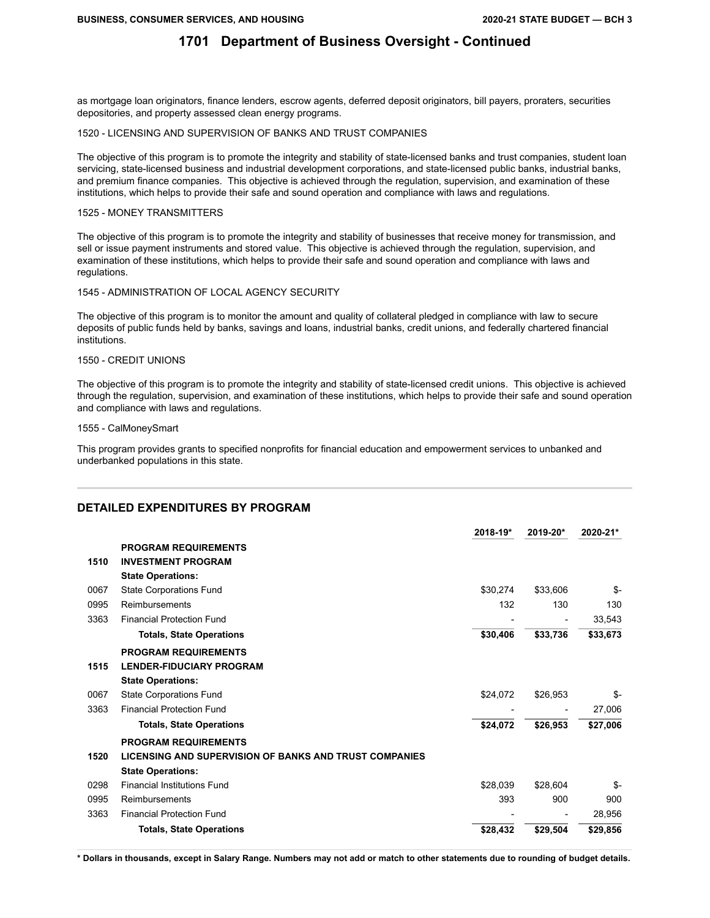as mortgage loan originators, finance lenders, escrow agents, deferred deposit originators, bill payers, proraters, securities depositories, and property assessed clean energy programs.

#### 1520 - LICENSING AND SUPERVISION OF BANKS AND TRUST COMPANIES

The objective of this program is to promote the integrity and stability of state-licensed banks and trust companies, student loan servicing, state-licensed business and industrial development corporations, and state-licensed public banks, industrial banks, and premium finance companies. This objective is achieved through the regulation, supervision, and examination of these institutions, which helps to provide their safe and sound operation and compliance with laws and regulations.

#### 1525 - MONEY TRANSMITTERS

The objective of this program is to promote the integrity and stability of businesses that receive money for transmission, and sell or issue payment instruments and stored value. This objective is achieved through the regulation, supervision, and examination of these institutions, which helps to provide their safe and sound operation and compliance with laws and regulations.

#### 1545 - ADMINISTRATION OF LOCAL AGENCY SECURITY

The objective of this program is to monitor the amount and quality of collateral pledged in compliance with law to secure deposits of public funds held by banks, savings and loans, industrial banks, credit unions, and federally chartered financial institutions.

#### 1550 - CREDIT UNIONS

The objective of this program is to promote the integrity and stability of state-licensed credit unions. This objective is achieved through the regulation, supervision, and examination of these institutions, which helps to provide their safe and sound operation and compliance with laws and regulations.

#### 1555 - CalMoneySmart

This program provides grants to specified nonprofits for financial education and empowerment services to unbanked and underbanked populations in this state.

### **DETAILED EXPENDITURES BY PROGRAM**

|      |                                                               | 2018-19* | 2019-20* | 2020-21* |
|------|---------------------------------------------------------------|----------|----------|----------|
|      | <b>PROGRAM REQUIREMENTS</b>                                   |          |          |          |
| 1510 | <b>INVESTMENT PROGRAM</b>                                     |          |          |          |
|      | <b>State Operations:</b>                                      |          |          |          |
| 0067 | State Corporations Fund                                       | \$30,274 | \$33,606 | \$-      |
| 0995 | Reimbursements                                                | 132      | 130      | 130      |
| 3363 | <b>Financial Protection Fund</b>                              |          |          | 33,543   |
|      | <b>Totals, State Operations</b>                               | \$30,406 | \$33,736 | \$33,673 |
|      | <b>PROGRAM REQUIREMENTS</b>                                   |          |          |          |
| 1515 | <b>LENDER-FIDUCIARY PROGRAM</b>                               |          |          |          |
|      | <b>State Operations:</b>                                      |          |          |          |
| 0067 | State Corporations Fund                                       | \$24,072 | \$26,953 | \$-      |
| 3363 | <b>Financial Protection Fund</b>                              |          |          | 27,006   |
|      | <b>Totals, State Operations</b>                               | \$24,072 | \$26,953 | \$27,006 |
|      | <b>PROGRAM REQUIREMENTS</b>                                   |          |          |          |
| 1520 | <b>LICENSING AND SUPERVISION OF BANKS AND TRUST COMPANIES</b> |          |          |          |
|      | <b>State Operations:</b>                                      |          |          |          |
| 0298 | <b>Financial Institutions Fund</b>                            | \$28,039 | \$28,604 | \$-      |
| 0995 | Reimbursements                                                | 393      | 900      | 900      |
| 3363 | <b>Financial Protection Fund</b>                              |          |          | 28,956   |
|      | <b>Totals, State Operations</b>                               | \$28,432 | \$29,504 | \$29,856 |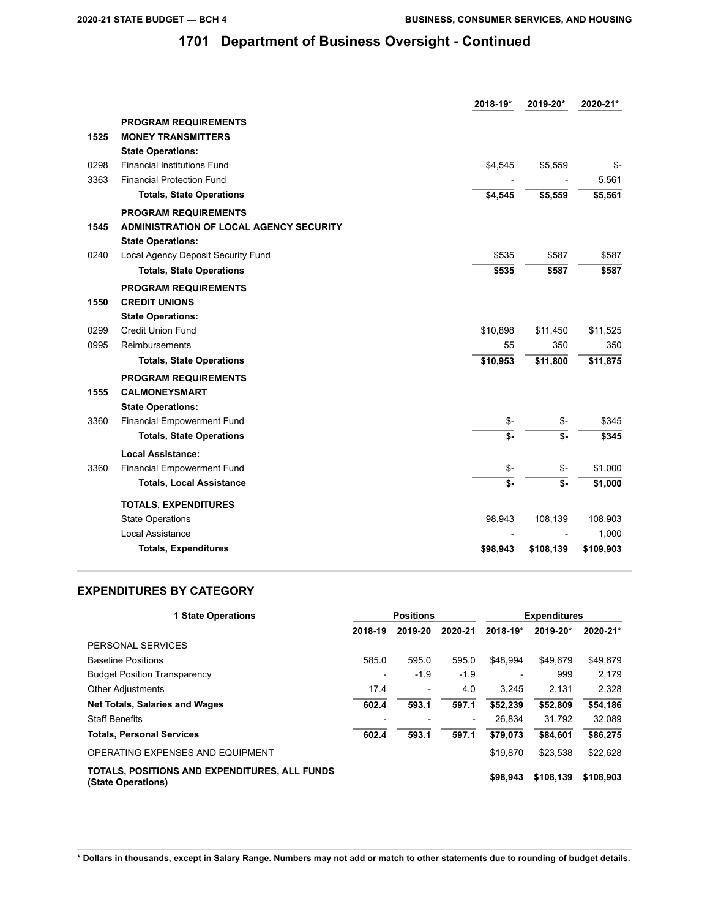|      |                                                | 2018-19*                  | 2019-20*  | 2020-21*            |
|------|------------------------------------------------|---------------------------|-----------|---------------------|
|      | <b>PROGRAM REQUIREMENTS</b>                    |                           |           |                     |
| 1525 | <b>MONEY TRANSMITTERS</b>                      |                           |           |                     |
|      | <b>State Operations:</b>                       |                           |           |                     |
| 0298 | <b>Financial Institutions Fund</b>             | \$4,545                   | \$5,559   | \$-                 |
| 3363 | <b>Financial Protection Fund</b>               |                           |           | 5,561               |
|      | <b>Totals, State Operations</b>                | \$4,545                   | \$5,559   | \$5,561             |
|      | <b>PROGRAM REQUIREMENTS</b>                    |                           |           |                     |
| 1545 | <b>ADMINISTRATION OF LOCAL AGENCY SECURITY</b> |                           |           |                     |
|      | <b>State Operations:</b>                       |                           |           |                     |
| 0240 | Local Agency Deposit Security Fund             | \$535                     | \$587     | \$587               |
|      | <b>Totals, State Operations</b>                | \$535                     | \$587     | \$587               |
|      | <b>PROGRAM REQUIREMENTS</b>                    |                           |           |                     |
| 1550 | <b>CREDIT UNIONS</b>                           |                           |           |                     |
|      | <b>State Operations:</b>                       |                           |           |                     |
| 0299 | <b>Credit Union Fund</b>                       | \$10,898                  | \$11,450  | \$11,525            |
| 0995 | Reimbursements                                 | 55                        | 350       | 350                 |
|      | <b>Totals, State Operations</b>                | \$10,953                  | \$11,800  | \$11,875            |
|      | <b>PROGRAM REQUIREMENTS</b>                    |                           |           |                     |
| 1555 | <b>CALMONEYSMART</b>                           |                           |           |                     |
|      | <b>State Operations:</b>                       |                           |           |                     |
| 3360 | <b>Financial Empowerment Fund</b>              | \$-                       | \$-       | \$345               |
|      | <b>Totals, State Operations</b>                | \$-                       | \$-       | \$345               |
|      | <b>Local Assistance:</b>                       |                           |           |                     |
| 3360 | Financial Empowerment Fund                     | \$-                       | \$-       | \$1,000             |
|      | <b>Totals, Local Assistance</b>                | $\overline{\mathsf{s}}$ . | \$-       | \$1,000             |
|      | <b>TOTALS, EXPENDITURES</b>                    |                           |           |                     |
|      | <b>State Operations</b>                        | 98,943                    | 108,139   | 108,903             |
|      | Local Assistance                               |                           |           | 1,000               |
|      | <b>Totals, Expenditures</b>                    | \$98,943                  | \$108,139 | $\frac{1}{109,903}$ |

## **EXPENDITURES BY CATEGORY**

| <b>1 State Operations</b>                                           | <b>Positions</b>         |         |                          |                          | <b>Expenditures</b> |           |  |
|---------------------------------------------------------------------|--------------------------|---------|--------------------------|--------------------------|---------------------|-----------|--|
|                                                                     | 2018-19                  | 2019-20 | 2020-21                  | 2018-19*                 | 2019-20*            | 2020-21*  |  |
| PERSONAL SERVICES                                                   |                          |         |                          |                          |                     |           |  |
| <b>Baseline Positions</b>                                           | 585.0                    | 595.0   | 595.0                    | \$48.994                 | \$49.679            | \$49,679  |  |
| <b>Budget Position Transparency</b>                                 | $\overline{\phantom{0}}$ | $-1.9$  | $-1.9$                   | $\overline{\phantom{0}}$ | 999                 | 2.179     |  |
| <b>Other Adjustments</b>                                            | 17.4                     | -       | 4.0                      | 3.245                    | 2.131               | 2.328     |  |
| <b>Net Totals, Salaries and Wages</b>                               | 602.4                    | 593.1   | 597.1                    | \$52.239                 | \$52,809            | \$54,186  |  |
| <b>Staff Benefits</b>                                               |                          |         | $\overline{\phantom{0}}$ | 26.834                   | 31.792              | 32,089    |  |
| <b>Totals, Personal Services</b>                                    | 602.4                    | 593.1   | 597.1                    | \$79.073                 | \$84.601            | \$86,275  |  |
| OPERATING EXPENSES AND EQUIPMENT                                    |                          |         |                          | \$19,870                 | \$23.538            | \$22,628  |  |
| TOTALS, POSITIONS AND EXPENDITURES, ALL FUNDS<br>(State Operations) |                          |         |                          | \$98,943                 | \$108,139           | \$108,903 |  |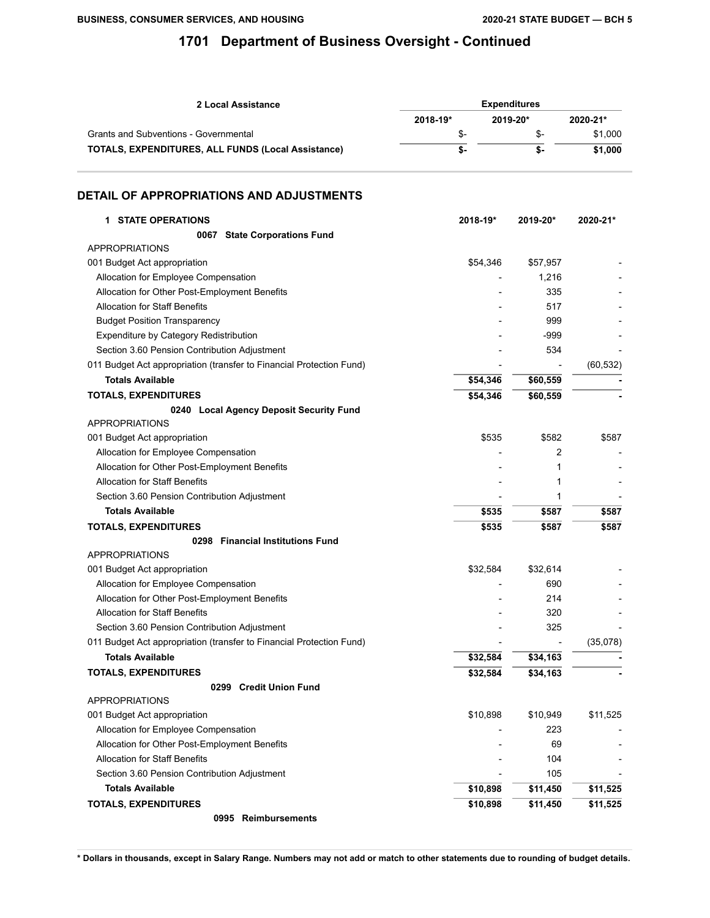| 2 Local Assistance                                        | <b>Expenditures</b> |          |          |  |
|-----------------------------------------------------------|---------------------|----------|----------|--|
|                                                           | 2018-19*            | 2019-20* | 2020-21* |  |
| Grants and Subventions - Governmental                     | \$-                 | \$-      | \$1.000  |  |
| <b>TOTALS, EXPENDITURES, ALL FUNDS (Local Assistance)</b> | \$-                 | ъ-       | \$1.000  |  |

### **DETAIL OF APPROPRIATIONS AND ADJUSTMENTS**

| <b>1 STATE OPERATIONS</b>                                            | 2018-19* | 2019-20* | 2020-21*  |
|----------------------------------------------------------------------|----------|----------|-----------|
| 0067 State Corporations Fund                                         |          |          |           |
| <b>APPROPRIATIONS</b>                                                |          |          |           |
| 001 Budget Act appropriation                                         | \$54,346 | \$57,957 |           |
| Allocation for Employee Compensation                                 |          | 1,216    |           |
| Allocation for Other Post-Employment Benefits                        |          | 335      |           |
| <b>Allocation for Staff Benefits</b>                                 |          | 517      |           |
| <b>Budget Position Transparency</b>                                  |          | 999      |           |
| Expenditure by Category Redistribution                               |          | -999     |           |
| Section 3.60 Pension Contribution Adjustment                         |          | 534      |           |
| 011 Budget Act appropriation (transfer to Financial Protection Fund) |          |          | (60, 532) |
| <b>Totals Available</b>                                              | \$54,346 | \$60,559 |           |
| <b>TOTALS, EXPENDITURES</b>                                          | \$54,346 | \$60,559 |           |
| 0240 Local Agency Deposit Security Fund                              |          |          |           |
| <b>APPROPRIATIONS</b>                                                |          |          |           |
| 001 Budget Act appropriation                                         | \$535    | \$582    | \$587     |
| Allocation for Employee Compensation                                 |          | 2        |           |
| Allocation for Other Post-Employment Benefits                        |          | 1        |           |
| <b>Allocation for Staff Benefits</b>                                 |          | 1        |           |
| Section 3.60 Pension Contribution Adjustment                         |          | 1        |           |
| <b>Totals Available</b>                                              | \$535    | \$587    | \$587     |
| <b>TOTALS, EXPENDITURES</b>                                          | \$535    | \$587    | \$587     |
| 0298 Financial Institutions Fund                                     |          |          |           |
| <b>APPROPRIATIONS</b>                                                |          |          |           |
| 001 Budget Act appropriation                                         | \$32,584 | \$32,614 |           |
| Allocation for Employee Compensation                                 |          | 690      |           |
| Allocation for Other Post-Employment Benefits                        |          | 214      |           |
| <b>Allocation for Staff Benefits</b>                                 |          | 320      |           |
| Section 3.60 Pension Contribution Adjustment                         |          | 325      |           |
| 011 Budget Act appropriation (transfer to Financial Protection Fund) |          |          | (35,078)  |
| <b>Totals Available</b>                                              | \$32,584 | \$34,163 |           |
| <b>TOTALS, EXPENDITURES</b>                                          | \$32,584 | \$34,163 |           |
| 0299 Credit Union Fund                                               |          |          |           |
| <b>APPROPRIATIONS</b>                                                |          |          |           |
| 001 Budget Act appropriation                                         | \$10,898 | \$10,949 | \$11,525  |
| Allocation for Employee Compensation                                 |          | 223      |           |
| Allocation for Other Post-Employment Benefits                        |          | 69       |           |
| <b>Allocation for Staff Benefits</b>                                 |          | 104      |           |
| Section 3.60 Pension Contribution Adjustment                         |          | 105      |           |
| <b>Totals Available</b>                                              | \$10,898 | \$11,450 | \$11,525  |
| <b>TOTALS, EXPENDITURES</b>                                          | \$10,898 | \$11,450 | \$11,525  |
| 0995 Reimbursements                                                  |          |          |           |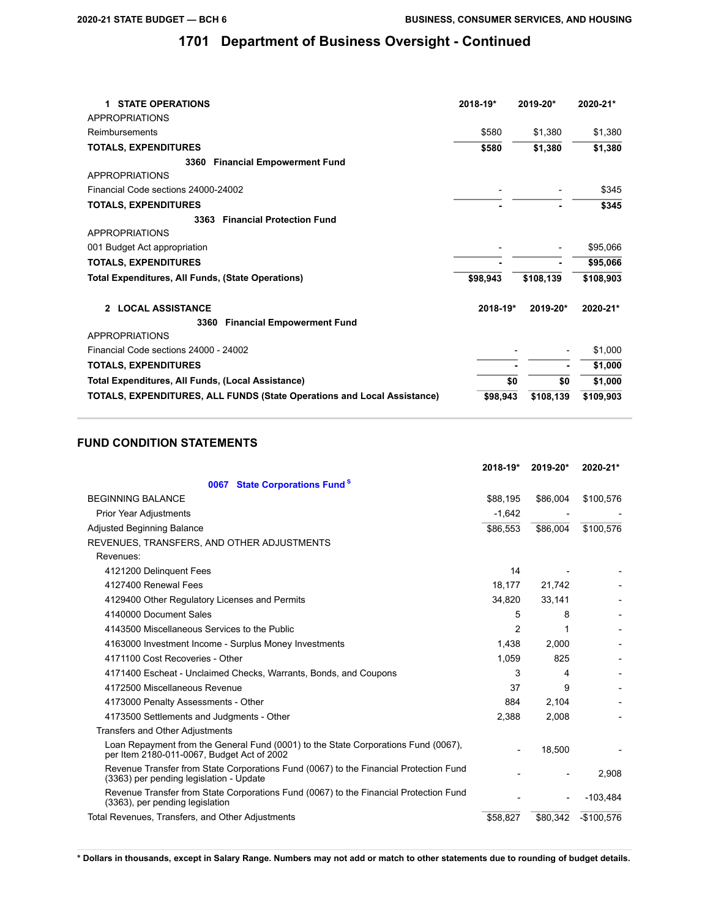| <b>STATE OPERATIONS</b><br>$\mathbf 1$                                  | 2018-19* | 2019-20*  | 2020-21*  |
|-------------------------------------------------------------------------|----------|-----------|-----------|
| <b>APPROPRIATIONS</b>                                                   |          |           |           |
| Reimbursements                                                          | \$580    | \$1,380   | \$1,380   |
| <b>TOTALS, EXPENDITURES</b>                                             | \$580    | \$1,380   | \$1,380   |
| <b>Financial Empowerment Fund</b><br>3360                               |          |           |           |
| APPROPRIATIONS                                                          |          |           |           |
| Financial Code sections 24000-24002                                     |          |           | \$345     |
| <b>TOTALS, EXPENDITURES</b>                                             |          |           | \$345     |
| <b>Financial Protection Fund</b><br>3363                                |          |           |           |
| <b>APPROPRIATIONS</b>                                                   |          |           |           |
| 001 Budget Act appropriation                                            |          |           | \$95,066  |
| <b>TOTALS, EXPENDITURES</b>                                             |          |           | \$95,066  |
| Total Expenditures, All Funds, (State Operations)                       | \$98,943 | \$108,139 | \$108,903 |
| 2 LOCAL ASSISTANCE                                                      | 2018-19* | 2019-20*  | 2020-21*  |
| <b>Financial Empowerment Fund</b><br>3360                               |          |           |           |
| <b>APPROPRIATIONS</b>                                                   |          |           |           |
| Financial Code sections 24000 - 24002                                   |          |           | \$1,000   |
| <b>TOTALS, EXPENDITURES</b>                                             |          |           | \$1,000   |
| Total Expenditures, All Funds, (Local Assistance)                       | \$0      | \$0       | \$1,000   |
| TOTALS, EXPENDITURES, ALL FUNDS (State Operations and Local Assistance) | \$98.943 | \$108,139 | \$109,903 |

## **FUND CONDITION STATEMENTS**

|                                                                                                                                  | 2018-19* | 2019-20* | 2020-21*    |
|----------------------------------------------------------------------------------------------------------------------------------|----------|----------|-------------|
| <b>State Corporations Fund<sup>S</sup></b><br>0067                                                                               |          |          |             |
| <b>BEGINNING BALANCE</b>                                                                                                         | \$88,195 | \$86,004 | \$100,576   |
| <b>Prior Year Adjustments</b>                                                                                                    | $-1,642$ |          |             |
| <b>Adjusted Beginning Balance</b>                                                                                                | \$86,553 | \$86,004 | \$100,576   |
| REVENUES, TRANSFERS, AND OTHER ADJUSTMENTS                                                                                       |          |          |             |
| Revenues:                                                                                                                        |          |          |             |
| 4121200 Delinquent Fees                                                                                                          | 14       |          |             |
| 4127400 Renewal Fees                                                                                                             | 18,177   | 21,742   |             |
| 4129400 Other Regulatory Licenses and Permits                                                                                    | 34,820   | 33,141   |             |
| 4140000 Document Sales                                                                                                           | 5        | 8        |             |
| 4143500 Miscellaneous Services to the Public                                                                                     | 2        |          |             |
| 4163000 Investment Income - Surplus Money Investments                                                                            | 1,438    | 2,000    |             |
| 4171100 Cost Recoveries - Other                                                                                                  | 1,059    | 825      |             |
| 4171400 Escheat - Unclaimed Checks, Warrants, Bonds, and Coupons                                                                 | 3        | 4        |             |
| 4172500 Miscellaneous Revenue                                                                                                    | 37       | 9        |             |
| 4173000 Penalty Assessments - Other                                                                                              | 884      | 2,104    |             |
| 4173500 Settlements and Judgments - Other                                                                                        | 2,388    | 2,008    |             |
| Transfers and Other Adjustments                                                                                                  |          |          |             |
| Loan Repayment from the General Fund (0001) to the State Corporations Fund (0067),<br>per Item 2180-011-0067, Budget Act of 2002 |          | 18,500   |             |
| Revenue Transfer from State Corporations Fund (0067) to the Financial Protection Fund<br>(3363) per pending legislation - Update |          |          | 2,908       |
| Revenue Transfer from State Corporations Fund (0067) to the Financial Protection Fund<br>(3363), per pending legislation         |          |          | $-103,484$  |
| Total Revenues, Transfers, and Other Adjustments                                                                                 | \$58.827 | \$80,342 | $-$100.576$ |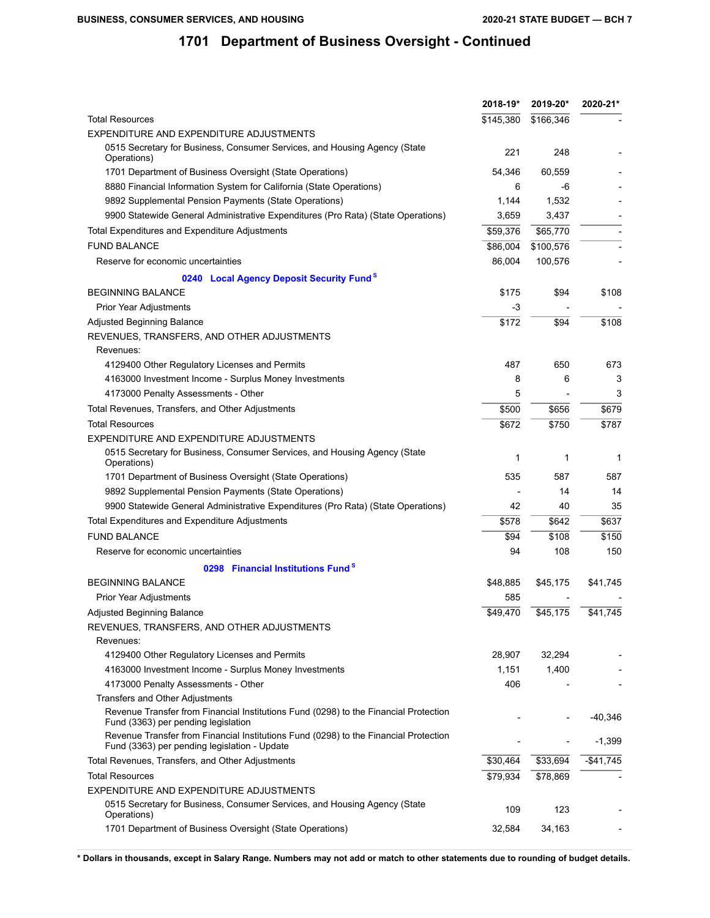|                                                                                                                                      | 2018-19*  | 2019-20*  | 2020-21*   |
|--------------------------------------------------------------------------------------------------------------------------------------|-----------|-----------|------------|
| <b>Total Resources</b>                                                                                                               | \$145,380 | \$166,346 |            |
| EXPENDITURE AND EXPENDITURE ADJUSTMENTS                                                                                              |           |           |            |
| 0515 Secretary for Business, Consumer Services, and Housing Agency (State<br>Operations)                                             | 221       | 248       |            |
| 1701 Department of Business Oversight (State Operations)                                                                             | 54,346    | 60,559    |            |
| 8880 Financial Information System for California (State Operations)                                                                  | 6         | -6        |            |
| 9892 Supplemental Pension Payments (State Operations)                                                                                | 1,144     | 1,532     |            |
| 9900 Statewide General Administrative Expenditures (Pro Rata) (State Operations)                                                     | 3,659     | 3,437     |            |
| Total Expenditures and Expenditure Adjustments                                                                                       | \$59,376  | \$65,770  |            |
| <b>FUND BALANCE</b>                                                                                                                  | \$86,004  | \$100,576 |            |
| Reserve for economic uncertainties                                                                                                   | 86,004    | 100,576   |            |
| 0240 Local Agency Deposit Security Fund <sup>8</sup>                                                                                 |           |           |            |
| <b>BEGINNING BALANCE</b>                                                                                                             | \$175     | \$94      | \$108      |
| Prior Year Adjustments                                                                                                               | -3        |           |            |
| Adjusted Beginning Balance                                                                                                           | \$172     | \$94      | \$108      |
| REVENUES, TRANSFERS, AND OTHER ADJUSTMENTS                                                                                           |           |           |            |
| Revenues:                                                                                                                            |           |           |            |
| 4129400 Other Regulatory Licenses and Permits                                                                                        | 487       | 650       | 673        |
| 4163000 Investment Income - Surplus Money Investments                                                                                | 8         | 6         | 3          |
| 4173000 Penalty Assessments - Other                                                                                                  | 5         |           | 3          |
| Total Revenues, Transfers, and Other Adjustments                                                                                     | \$500     | \$656     | \$679      |
| <b>Total Resources</b>                                                                                                               | \$672     | \$750     | \$787      |
| EXPENDITURE AND EXPENDITURE ADJUSTMENTS                                                                                              |           |           |            |
| 0515 Secretary for Business, Consumer Services, and Housing Agency (State<br>Operations)                                             | 1         | 1         | 1          |
| 1701 Department of Business Oversight (State Operations)                                                                             | 535       | 587       | 587        |
| 9892 Supplemental Pension Payments (State Operations)                                                                                |           | 14        | 14         |
| 9900 Statewide General Administrative Expenditures (Pro Rata) (State Operations)                                                     | 42        | 40        | 35         |
| Total Expenditures and Expenditure Adjustments                                                                                       | \$578     | \$642     | \$637      |
| <b>FUND BALANCE</b>                                                                                                                  | \$94      | \$108     | \$150      |
| Reserve for economic uncertainties                                                                                                   | 94        | 108       | 150        |
| 0298 Financial Institutions Fund <sup>S</sup>                                                                                        |           |           |            |
| <b>BEGINNING BALANCE</b>                                                                                                             | \$48,885  | \$45,175  | \$41,745   |
| Prior Year Adjustments                                                                                                               | 585       |           |            |
| Adjusted Beginning Balance                                                                                                           | \$49,470  | \$45,175  | \$41,745   |
| REVENUES, TRANSFERS, AND OTHER ADJUSTMENTS                                                                                           |           |           |            |
| Revenues:                                                                                                                            |           |           |            |
| 4129400 Other Regulatory Licenses and Permits                                                                                        | 28,907    | 32,294    |            |
| 4163000 Investment Income - Surplus Money Investments                                                                                | 1,151     | 1,400     |            |
| 4173000 Penalty Assessments - Other                                                                                                  | 406       |           |            |
| Transfers and Other Adjustments                                                                                                      |           |           |            |
| Revenue Transfer from Financial Institutions Fund (0298) to the Financial Protection<br>Fund (3363) per pending legislation          |           |           | -40,346    |
| Revenue Transfer from Financial Institutions Fund (0298) to the Financial Protection<br>Fund (3363) per pending legislation - Update |           |           | $-1,399$   |
| Total Revenues, Transfers, and Other Adjustments                                                                                     | \$30,464  | \$33,694  | $-$41,745$ |
| <b>Total Resources</b>                                                                                                               | \$79,934  | \$78,869  |            |
| EXPENDITURE AND EXPENDITURE ADJUSTMENTS                                                                                              |           |           |            |
| 0515 Secretary for Business, Consumer Services, and Housing Agency (State<br>Operations)                                             | 109       | 123       |            |
| 1701 Department of Business Oversight (State Operations)                                                                             | 32,584    | 34,163    |            |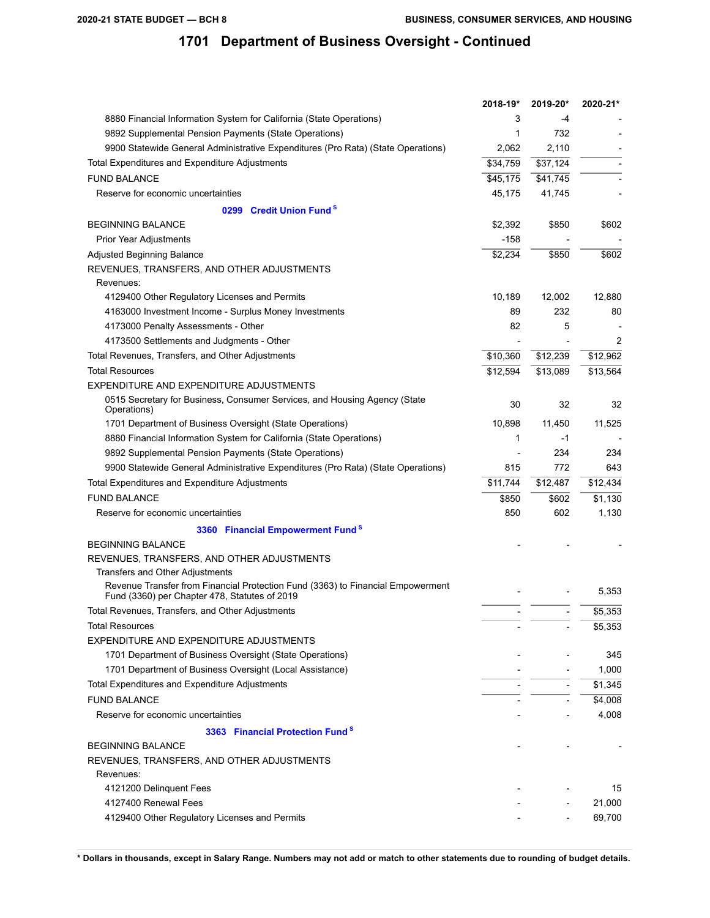|                                                                                                                                  | 2018-19* | 2019-20* | 2020-21* |
|----------------------------------------------------------------------------------------------------------------------------------|----------|----------|----------|
| 8880 Financial Information System for California (State Operations)                                                              | 3        | -4       |          |
| 9892 Supplemental Pension Payments (State Operations)                                                                            | 1        | 732      |          |
| 9900 Statewide General Administrative Expenditures (Pro Rata) (State Operations)                                                 | 2,062    | 2,110    |          |
| Total Expenditures and Expenditure Adjustments                                                                                   | \$34,759 | \$37,124 |          |
| <b>FUND BALANCE</b>                                                                                                              | \$45,175 | \$41,745 |          |
| Reserve for economic uncertainties                                                                                               | 45,175   | 41,745   |          |
| 0299 Credit Union Fund <sup>S</sup>                                                                                              |          |          |          |
| <b>BEGINNING BALANCE</b>                                                                                                         | \$2,392  | \$850    | \$602    |
| Prior Year Adjustments                                                                                                           | $-158$   |          |          |
| Adjusted Beginning Balance                                                                                                       | \$2,234  | \$850    | \$602    |
| REVENUES, TRANSFERS, AND OTHER ADJUSTMENTS<br>Revenues:                                                                          |          |          |          |
| 4129400 Other Regulatory Licenses and Permits                                                                                    | 10,189   | 12,002   | 12,880   |
| 4163000 Investment Income - Surplus Money Investments                                                                            | 89       | 232      | 80       |
| 4173000 Penalty Assessments - Other                                                                                              | 82       | 5        |          |
| 4173500 Settlements and Judgments - Other                                                                                        |          |          | 2        |
| Total Revenues, Transfers, and Other Adjustments                                                                                 | \$10,360 | \$12,239 | \$12,962 |
| <b>Total Resources</b>                                                                                                           | \$12,594 | \$13,089 | \$13,564 |
| EXPENDITURE AND EXPENDITURE ADJUSTMENTS                                                                                          |          |          |          |
| 0515 Secretary for Business, Consumer Services, and Housing Agency (State<br>Operations)                                         | 30       | 32       | 32       |
| 1701 Department of Business Oversight (State Operations)                                                                         | 10,898   | 11,450   | 11,525   |
| 8880 Financial Information System for California (State Operations)                                                              | 1        | -1       |          |
| 9892 Supplemental Pension Payments (State Operations)                                                                            |          | 234      | 234      |
| 9900 Statewide General Administrative Expenditures (Pro Rata) (State Operations)                                                 | 815      | 772      | 643      |
| Total Expenditures and Expenditure Adjustments                                                                                   | \$11,744 | \$12,487 | \$12,434 |
| <b>FUND BALANCE</b>                                                                                                              | \$850    | \$602    | \$1,130  |
| Reserve for economic uncertainties                                                                                               | 850      | 602      | 1,130    |
| 3360 Financial Empowerment Fund <sup>8</sup>                                                                                     |          |          |          |
| <b>BEGINNING BALANCE</b>                                                                                                         |          |          |          |
| REVENUES, TRANSFERS, AND OTHER ADJUSTMENTS                                                                                       |          |          |          |
| <b>Transfers and Other Adjustments</b>                                                                                           |          |          |          |
| Revenue Transfer from Financial Protection Fund (3363) to Financial Empowerment<br>Fund (3360) per Chapter 478, Statutes of 2019 |          |          | 5,353    |
| Total Revenues, Transfers, and Other Adjustments                                                                                 |          |          | \$5,353  |
| <b>Total Resources</b>                                                                                                           |          |          | \$5,353  |
| EXPENDITURE AND EXPENDITURE ADJUSTMENTS                                                                                          |          |          |          |
| 1701 Department of Business Oversight (State Operations)                                                                         |          |          | 345      |
| 1701 Department of Business Oversight (Local Assistance)                                                                         |          |          | 1,000    |
| Total Expenditures and Expenditure Adjustments                                                                                   |          |          | \$1,345  |
| <b>FUND BALANCE</b>                                                                                                              |          |          | \$4,008  |
| Reserve for economic uncertainties                                                                                               |          |          | 4,008    |
| 3363 Financial Protection Fund <sup>S</sup>                                                                                      |          |          |          |
| <b>BEGINNING BALANCE</b>                                                                                                         |          |          |          |
| REVENUES, TRANSFERS, AND OTHER ADJUSTMENTS                                                                                       |          |          |          |
| Revenues:                                                                                                                        |          |          |          |
| 4121200 Delinquent Fees                                                                                                          |          |          | 15       |
| 4127400 Renewal Fees                                                                                                             |          |          | 21,000   |
| 4129400 Other Regulatory Licenses and Permits                                                                                    |          |          | 69,700   |